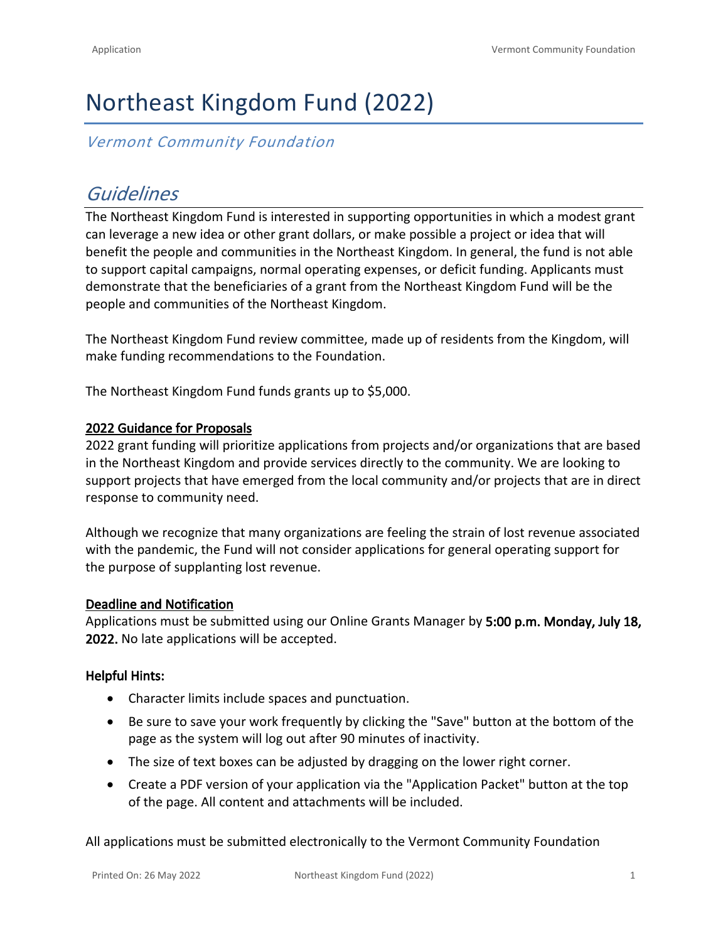# Northeast Kingdom Fund (2022)

### *Vermont Community Foundation*

# *Guidelines*

The Northeast Kingdom Fund is interested in supporting opportunities in which a modest grant can leverage a new idea or other grant dollars, or make possible a project or idea that will benefit the people and communities in the Northeast Kingdom. In general, the fund is not able to support capital campaigns, normal operating expenses, or deficit funding. Applicants must demonstrate that the beneficiaries of a grant from the Northeast Kingdom Fund will be the people and communities of the Northeast Kingdom.

The Northeast Kingdom Fund review committee, made up of residents from the Kingdom, will make funding recommendations to the Foundation.

The Northeast Kingdom Fund funds grants up to \$5,000.

#### **2022 Guidance for Proposals**

2022 grant funding will prioritize applications from projects and/or organizations that are based in the Northeast Kingdom and provide services directly to the community. We are looking to support projects that have emerged from the local community and/or projects that are in direct response to community need.

Although we recognize that many organizations are feeling the strain of lost revenue associated with the pandemic, the Fund will not consider applications for general operating support for the purpose of supplanting lost revenue.

#### **Deadline and Notification**

Applications must be submitted using our Online Grants Manager by **5:00 p.m. Monday, July 18, 2022.** No late applications will be accepted.

#### **Helpful Hints:**

- Character limits include spaces and punctuation.
- Be sure to save your work frequently by clicking the "Save" button at the bottom of the page as the system will log out after 90 minutes of inactivity.
- The size of text boxes can be adjusted by dragging on the lower right corner.
- Create a PDF version of your application via the "Application Packet" button at the top of the page. All content and attachments will be included.

All applications must be submitted electronically to the Vermont Community Foundation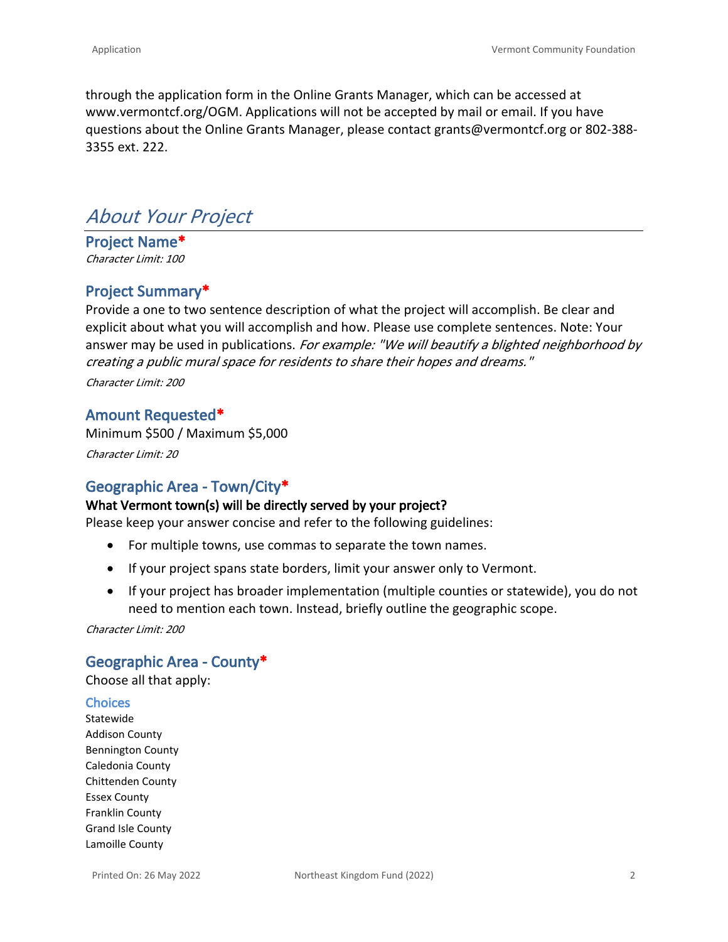through the application form in the Online Grants Manager, which can be accessed at [www.vermontcf.org/OGM.](http://www.vermontcf.org/OGM) Applications will not be accepted by mail or email. If you have questions about the Online Grants Manager, please contact grants@vermontcf.org or 802-388- 3355 ext. 222.

# *About Your Project*

**Project Name\*** *Character Limit: 100*

#### **Project Summary\***

Provide a one to two sentence description of what the project will accomplish. Be clear and explicit about what you will accomplish and how. Please use complete sentences. Note: Your answer may be used in publications. *For example: "We will beautify a blighted neighborhood by creating a public mural space for residents to share their hopes and dreams."*

*Character Limit: 200*

#### **Amount Requested\***

Minimum \$500 / Maximum \$5,000 *Character Limit: 20*

### **Geographic Area - Town/City\***

#### **What Vermont town(s) will be directly served by your project?**

Please keep your answer concise and refer to the following guidelines:

- For multiple towns, use commas to separate the town names.
- If your project spans state borders, limit your answer only to Vermont.
- If your project has broader implementation (multiple counties or statewide), you do not need to mention each town. Instead, briefly outline the geographic scope.

*Character Limit: 200*

#### **Geographic Area - County\***

Choose all that apply:

#### **Choices**

Statewide Addison County Bennington County Caledonia County Chittenden County Essex County Franklin County Grand Isle County Lamoille County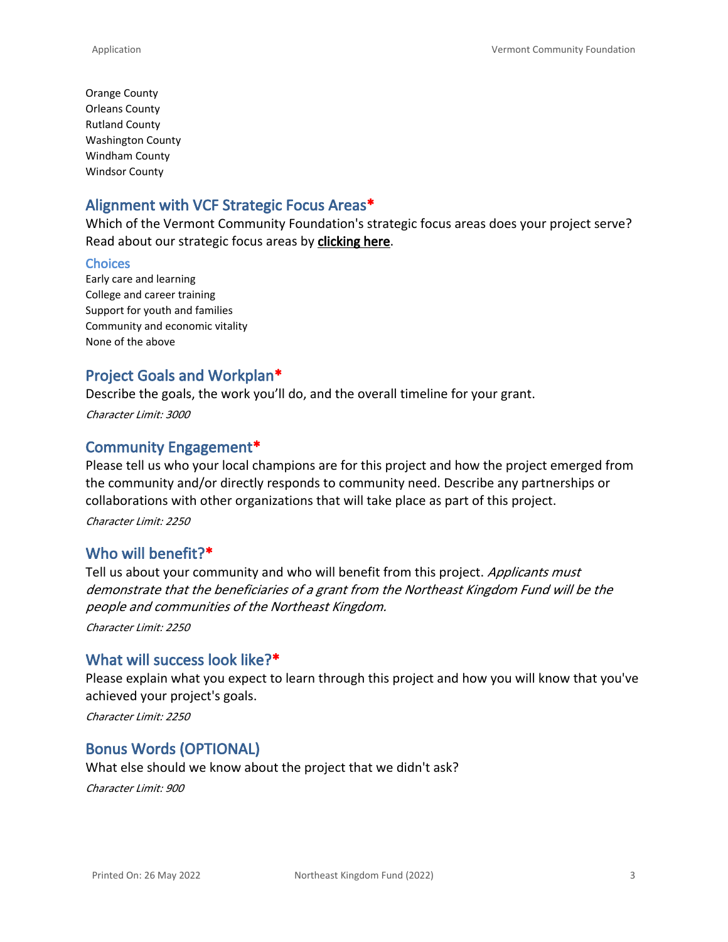Orange County Orleans County Rutland County Washington County Windham County Windsor County

### **Alignment with VCF Strategic Focus Areas\***

Which of the Vermont Community Foundation's strategic focus areas does your project serve? Read about our strategic focus areas by **[clicking here](https://vermontcf.org/our-impact/community-impact/)**.

#### **Choices**

Early care and learning College and career training Support for youth and families Community and economic vitality None of the above

### **Project Goals and Workplan\***

Describe the goals, the work you'll do, and the overall timeline for your grant.

*Character Limit: 3000*

### **Community Engagement\***

Please tell us who your local champions are for this project and how the project emerged from the community and/or directly responds to community need. Describe any partnerships or collaborations with other organizations that will take place as part of this project.

*Character Limit: 2250*

### **Who will benefit?\***

Tell us about your community and who will benefit from this project. *Applicants must demonstrate that the beneficiaries of a grant from the Northeast Kingdom Fund will be the people and communities of the Northeast Kingdom.*

*Character Limit: 2250*

### **What will success look like?\***

Please explain what you expect to learn through this project and how you will know that you've achieved your project's goals.

*Character Limit: 2250*

### **Bonus Words (OPTIONAL)**

What else should we know about the project that we didn't ask?

*Character Limit: 900*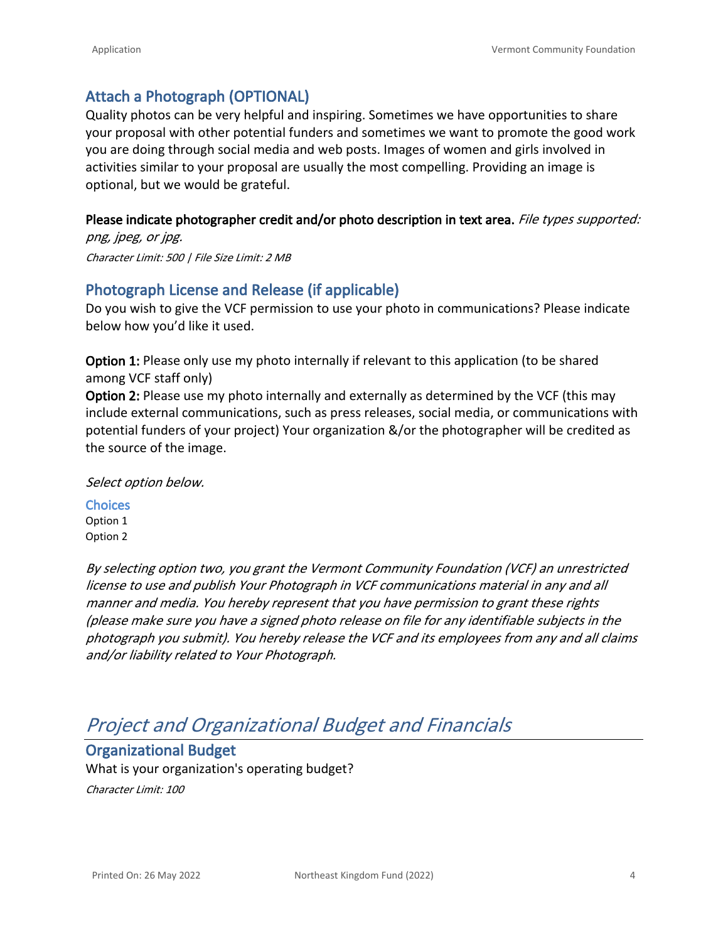### **Attach a Photograph (OPTIONAL)**

Quality photos can be very helpful and inspiring. Sometimes we have opportunities to share your proposal with other potential funders and sometimes we want to promote the good work you are doing through social media and web posts. Images of women and girls involved in activities similar to your proposal are usually the most compelling. Providing an image is optional, but we would be grateful.

#### **Please indicate photographer credit and/or photo description in text area.** *File types supported:*

*png, jpeg, or jpg. Character Limit: 500 | File Size Limit: 2 MB*

### **Photograph License and Release (if applicable)**

Do you wish to give the VCF permission to use your photo in communications? Please indicate below how you'd like it used.

**Option 1:** Please only use my photo internally if relevant to this application (to be shared among VCF staff only)

**Option 2:** Please use my photo internally and externally as determined by the VCF (this may include external communications, such as press releases, social media, or communications with potential funders of your project) Your organization &/or the photographer will be credited as the source of the image.

#### *Select option below.*

**Choices** Option 1 Option 2

*By selecting option two, you grant the Vermont Community Foundation (VCF) an unrestricted license to use and publish Your Photograph in VCF communications material in any and all manner and media. You hereby represent that you have permission to grant these rights (please make sure you have a signed photo release on file for any identifiable subjects in the photograph you submit). You hereby release the VCF and its employees from any and all claims and/or liability related to Your Photograph.*

# *Project and Organizational Budget and Financials*

### **Organizational Budget**

What is your organization's operating budget? *Character Limit: 100*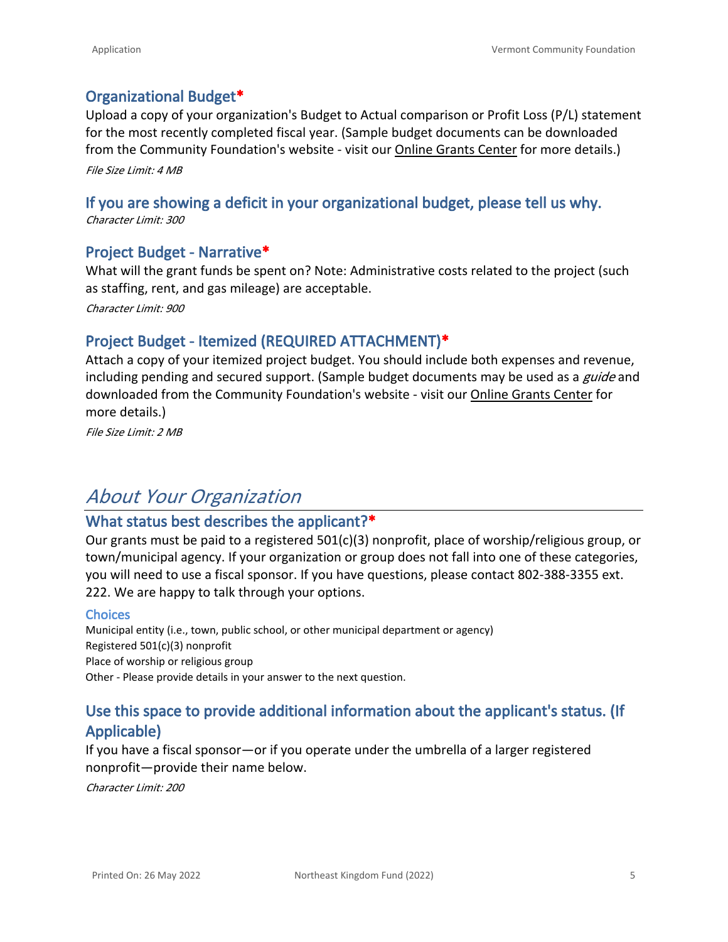### **Organizational Budget\***

Upload a copy of your organization's Budget to Actual comparison or Profit Loss (P/L) statement for the most recently completed fiscal year. (Sample budget documents can be downloaded from the Community Foundation's website - visit our [Online Grants Center](https://vermontcf.org/nonprofits-and-grantseekers/how-to-apply/) for more details.) *File Size Limit: 4 MB*

### **If you are showing a deficit in your organizational budget, please tell us why.**

*Character Limit: 300*

#### **Project Budget - Narrative\***

What will the grant funds be spent on? Note: Administrative costs related to the project (such as staffing, rent, and gas mileage) are acceptable.

*Character Limit: 900*

### **Project Budget - Itemized (REQUIRED ATTACHMENT)\***

Attach a copy of your itemized project budget. You should include both expenses and revenue, including pending and secured support. (Sample budget documents may be used as a *guide* and downloaded from the Community Foundation's website - visit our [Online Grants Center](https://vermontcf.org/nonprofits-and-grantseekers/how-to-apply/) for more details.)

*File Size Limit: 2 MB*

# *About Your Organization*

#### **What status best describes the applicant?\***

Our grants must be paid to a registered 501(c)(3) nonprofit, place of worship/religious group, or town/municipal agency. If your organization or group does not fall into one of these categories, you will need to use a fiscal sponsor. If you have questions, please contact 802-388-3355 ext. 222. We are happy to talk through your options.

#### **Choices**

Municipal entity (i.e., town, public school, or other municipal department or agency) Registered 501(c)(3) nonprofit Place of worship or religious group Other - Please provide details in your answer to the next question.

### **Use this space to provide additional information about the applicant's status. (If Applicable)**

If you have a fiscal sponsor—or if you operate under the umbrella of a larger registered nonprofit—provide their name below.

*Character Limit: 200*